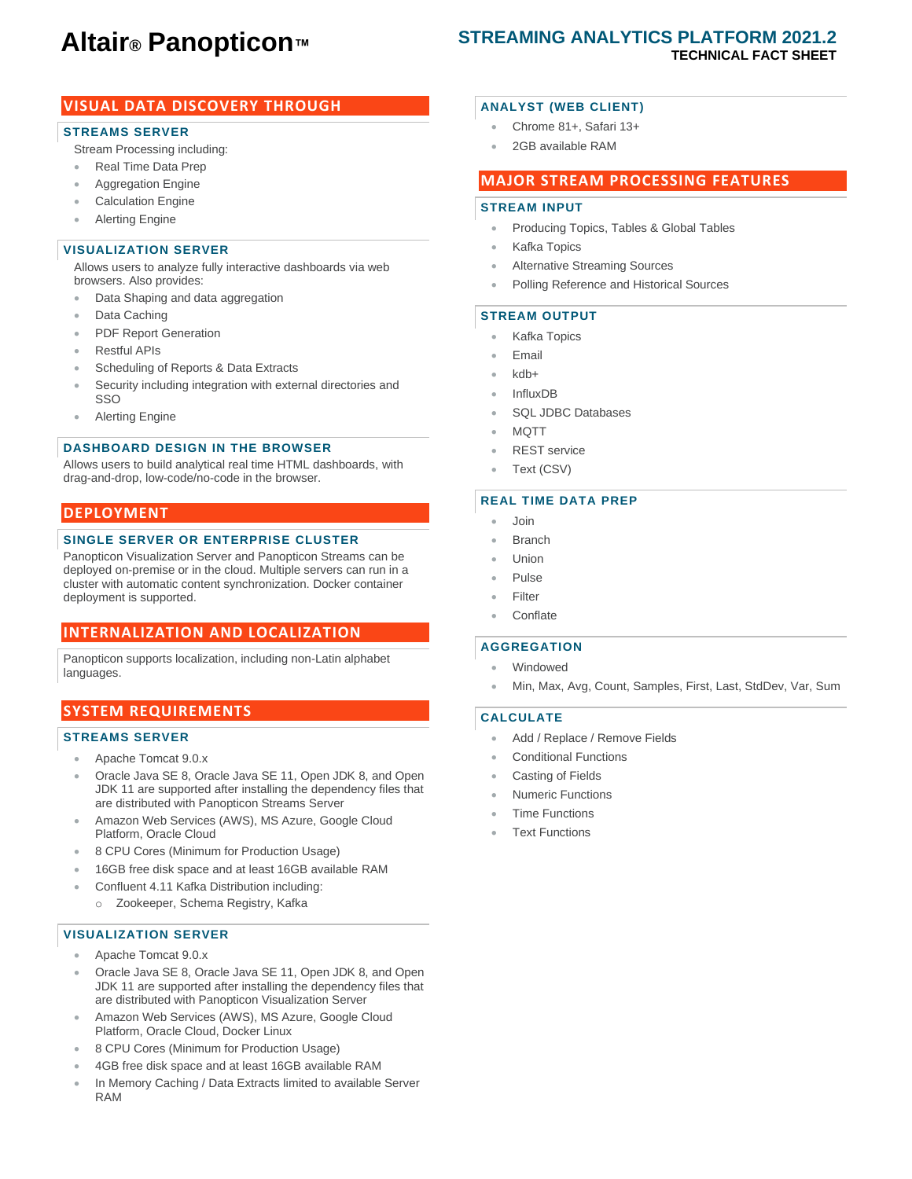# **Altair® Panopticon™**

## **STREAMING ANALYTICS PLATFORM 2021.2 TECHNICAL FACT SHEET**

## **VISUAL DATA DISCOVERY THROUGH**

### **STREAMS SERVER**

Stream Processing including:

- Real Time Data Prep
- Aggregation Engine
- Calculation Engine
- **Alerting Engine**

## **VISUALIZATION SERVER**

Allows users to analyze fully interactive dashboards via web browsers. Also provides:

- Data Shaping and data aggregation
- Data Caching
- PDF Report Generation
- Restful APIs
- Scheduling of Reports & Data Extracts
- Security including integration with external directories and SSO
- Alerting Engine

## **DASHBOARD DESIGN IN THE BROWSER**

Allows users to build analytical real time HTML dashboards, with drag-and-drop, low-code/no-code in the browser.

#### **DEPLOYMENT**

#### **SINGLE SERVER OR ENTERPRISE CLUSTER**

Panopticon Visualization Server and Panopticon Streams can be deployed on-premise or in the cloud. Multiple servers can run in a cluster with automatic content synchronization. Docker container deployment is supported.

## **INTERNALIZATION AND LOCALIZATION**

Panopticon supports localization, including non-Latin alphabet languages.

## **SYSTEM REQUIREMENTS**

#### **STREAMS SERVER**

- Apache Tomcat 9.0.x
- Oracle Java SE 8, Oracle Java SE 11, Open JDK 8, and Open JDK 11 are supported after installing the dependency files that are distributed with Panopticon Streams Server
- Amazon Web Services (AWS), MS Azure, Google Cloud Platform, Oracle Cloud
- 8 CPU Cores (Minimum for Production Usage)
- 16GB free disk space and at least 16GB available RAM
- Confluent 4.11 Kafka Distribution including: o Zookeeper, Schema Registry, Kafka

#### **VISUALIZATION SERVER**

- Apache Tomcat 9.0.x
- Oracle Java SE 8, Oracle Java SE 11, Open JDK 8, and Open JDK 11 are supported after installing the dependency files that are distributed with Panopticon Visualization Server
- Amazon Web Services (AWS), MS Azure, Google Cloud Platform, Oracle Cloud, Docker Linux
- 8 CPU Cores (Minimum for Production Usage)
- 4GB free disk space and at least 16GB available RAM
- In Memory Caching / Data Extracts limited to available Server RAM

### **ANALYST (WEB CLIENT)**

- Chrome 81+, Safari 13+
- 2GB available RAM

#### **MAJOR STREAM PROCESSING FEATURES**

#### **STREAM INPUT**

- Producing Topics, Tables & Global Tables
- Kafka Topics
- Alternative Streaming Sources
- Polling Reference and Historical Sources

#### **STREAM OUTPUT**

- Kafka Topics
- Email
- kdb+
- InfluxDB
- SQL JDBC Databases
- MOTT
- REST service
- Text (CSV)

#### **REAL TIME DATA PREP**

- Join
- **Branch**
- Union
- Pulse
- Filter
- Conflate

#### **AGGREGATION**

- **Windowed**
- Min, Max, Avg, Count, Samples, First, Last, StdDev, Var, Sum

#### **CALCULATE**

- Add / Replace / Remove Fields
- Conditional Functions
- Casting of Fields
- Numeric Functions
- **Time Functions**
- **Text Functions**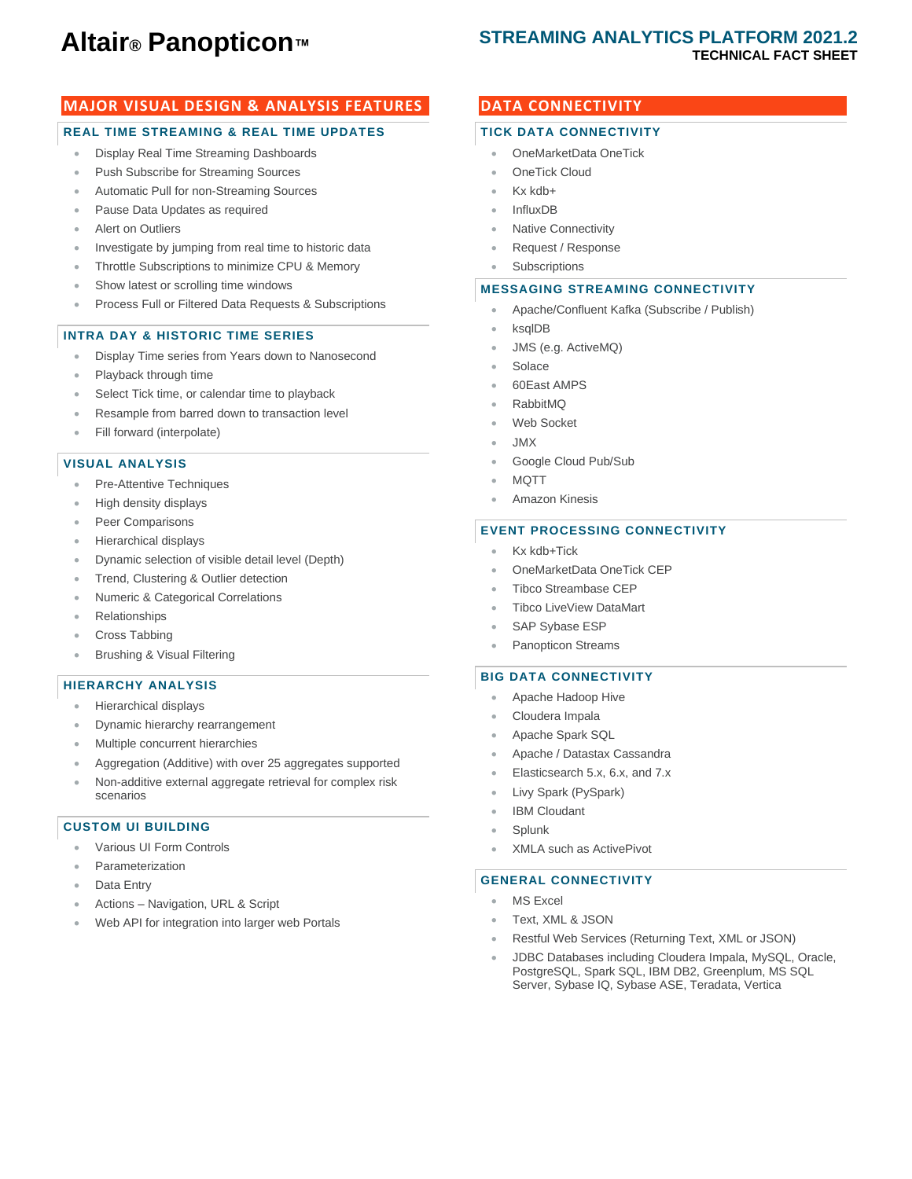# **Altair® Panopticon™**

## **STREAMING ANALYTICS PLATFORM 2021.2 TECHNICAL FACT SHEET**

## **MAJOR VISUAL DESIGN & ANALYSIS FEATURES**

#### **REAL TIME STREAMING & REAL TIME UPDATES**

- Display Real Time Streaming Dashboards
- Push Subscribe for Streaming Sources
- Automatic Pull for non-Streaming Sources
- Pause Data Updates as required
- **Alert on Outliers**
- Investigate by jumping from real time to historic data
- Throttle Subscriptions to minimize CPU & Memory
- Show latest or scrolling time windows
- Process Full or Filtered Data Requests & Subscriptions

#### **INTRA DAY & HISTORIC TIME SERIES**

- Display Time series from Years down to Nanosecond
- Playback through time
- Select Tick time, or calendar time to playback
- Resample from barred down to transaction level
- Fill forward (interpolate)

#### **VISUAL ANALYSIS**

- Pre-Attentive Techniques
- High density displays
- Peer Comparisons
- Hierarchical displays
- Dynamic selection of visible detail level (Depth)
- Trend, Clustering & Outlier detection
- Numeric & Categorical Correlations
- Relationships
- Cross Tabbing
- Brushing & Visual Filtering

#### **HIERARCHY ANALYSIS**

- Hierarchical displays
- Dynamic hierarchy rearrangement
- Multiple concurrent hierarchies
- Aggregation (Additive) with over 25 aggregates supported
- Non-additive external aggregate retrieval for complex risk scenarios

#### **CUSTOM UI BUILDING**

- Various UI Form Controls
- **Parameterization**
- Data Entry
- Actions Navigation, URL & Script
- Web API for integration into larger web Portals

## **DATA CONNECTIVITY**

#### **TICK DATA CONNECTIVITY**

- OneMarketData OneTick
- **OneTick Cloud**
- Kx kdb+
- InfluxDB
- **Native Connectivity**
- Request / Response
- **Subscriptions**

#### **MESSAGING STREAMING CONNECTIVITY**

- Apache/Confluent Kafka (Subscribe / Publish)
- ksqlDB
- JMS (e.g. ActiveMQ)
- **Solace**
- 60East AMPS
- RabbitMQ
- Web Socket
- JMX
- Google Cloud Pub/Sub
- MQTT
- Amazon Kinesis

#### **EVENT PROCESSING CONNECTIVITY**

- Kx kdb+Tick
- OneMarketData OneTick CEP
- Tibco Streambase CEP
- Tibco LiveView DataMart
- SAP Sybase ESP
- Panopticon Streams

#### **BIG DATA CONNECTIVITY**

- Apache Hadoop Hive
- Cloudera Impala
- Apache Spark SQL
- Apache / Datastax Cassandra
- Elasticsearch 5.x, 6.x, and 7.x
- Livy Spark (PySpark)
- **IBM Cloudant**
- **Splunk**
- XMLA such as ActivePivot

#### **GENERAL CONNECTIVITY**

- MS Excel
- Text, XML & JSON
- Restful Web Services (Returning Text, XML or JSON)
- JDBC Databases including Cloudera Impala, MySQL, Oracle, PostgreSQL, Spark SQL, IBM DB2, Greenplum, MS SQL Server, Sybase IQ, Sybase ASE, Teradata, Vertica